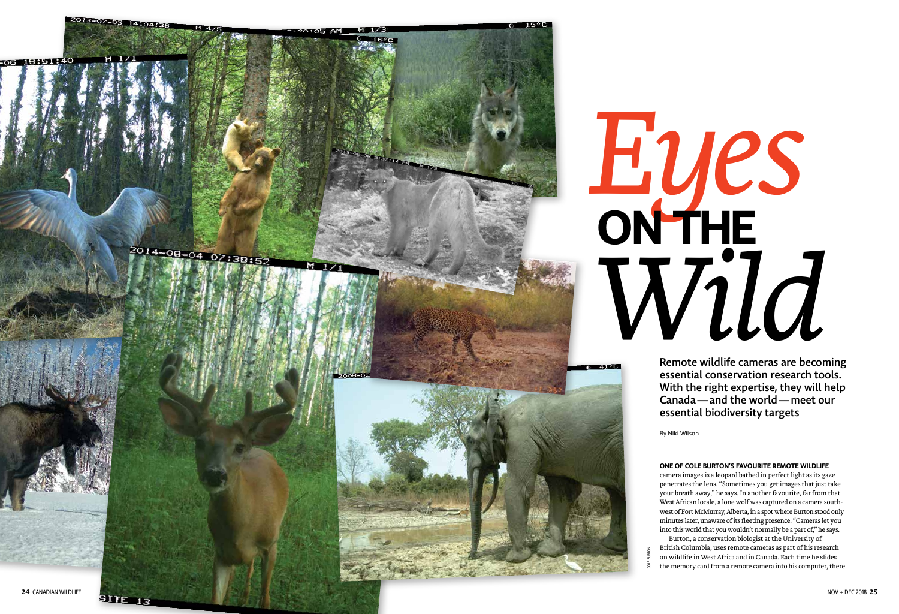

Remote wildlife cameras are becoming essential conservation research tools. With the right expertise, they will help Canada —and the world —meet our essential biodiversity targets

#### **ONE OF COLE BURTON'S FAVOURITE REMOTE WILDLIFE**

# *Eyes* **ON THE Wildlife cameras are becomed to the contract of the contract of the contract of the contract of the contract of the contract of the contract of the contract of the contract of the contract of the contract of the contract**

camera images is a leopard bathed in perfect light as its gaze penetrates the lens. "Sometimes you get images that just take your breath away," he says. In another favourite, far from that West African locale, a lone wolf was captured on a camera southwest of Fort McMurray, Alberta, in a spot where Burton stood only minutes later, unaware of its fleeting presence. "Cameras let you into this world that you wouldn't normally be a part of," he says. Burton, a conservation biologist at the University of British Columbia, uses remote cameras as part of his research on wildlife in West Africa and in Canada. Each time he slides the memory card from a remote camera into his computer, there

By Niki Wilson

COLE BURTON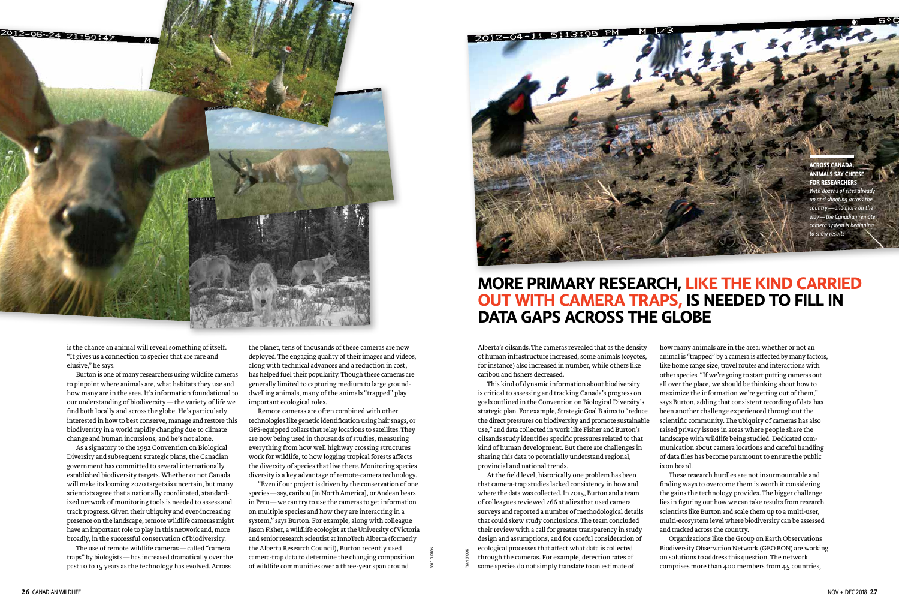

is the chance an animal will reveal something of itself. "It gives us a connection to species that are rare and elusive," he says.

Burton is one of many researchers using wildlife cameras to pinpoint where animals are, what habitats they use and how many are in the area. It's information foundational to our understanding of biodiversity—the variety of life we find both locally and across the globe. He's particularly interested in how to best conserve, manage and restore this biodiversity in a world rapidly changing due to climate change and human incursions, and he's not alone.

As a signatory to the 1992 Convention on Biological Diversity and subsequent strategic plans, the Canadian government has committed to several internationally established biodiversity targets. Whether or not Canada will make its looming 2020 targets is uncertain, but many scientists agree that a nationally coordinated, standardized network of monitoring tools is needed to assess and track progress. Given their ubiquity and ever-increasing presence on the landscape, remote wildlife cameras might have an important role to play in this network and, more broadly, in the successful conservation of biodiversity.

The use of remote wildlife cameras—called "camera traps" by biologists—has increased dramatically over the past 10 to 15 years as the technology has evolved. Across

the planet, tens of thousands of these cameras are now deployed. The engaging quality of their images and videos, along with technical advances and a reduction in cost, has helped fuel their popularity. Though these cameras are generally limited to capturing medium to large grounddwelling animals, many of the animals "trapped" play important ecological roles.

Remote cameras are often combined with other technologies like genetic identification using hair snags, or GPS-equipped collars that relay locations to satellites. They are now being used in thousands of studies, measuring everything from how well highway crossing structures work for wildlife, to how logging tropical forests affects the diversity of species that live there. Monitoring species diversity is a key advantage of remote-camera technology.

"Even if our project is driven by the conservation of one species—say, caribou [in North America], or Andean bears in Peru—we can try to use the cameras to get information on multiple species and how they are interacting in a system," says Burton. For example, along with colleague Jason Fisher, a wildlife ecologist at the University of Victoria and senior research scientist at InnoTech Alberta (formerly the Alberta Research Council), Burton recently used camera-trap data to determine the changing composition of wildlife communities over a three-year span around

Alberta's oilsands. The cameras revealed that as the density of human infrastructure increased, some animals (coyotes, for instance) also increased in number, while others like caribou and fishers decreased.

*camera system is begin to show results* 

This kind of dynamic information about biodiversity is critical to assessing and tracking Canada's progress on goals outlined in the Convention on Biological Diversity's strategic plan. For example, Strategic Goal B aims to "reduce the direct pressures on biodiversity and promote sustainable use," and data collected in work like Fisher and Burton's oilsands study identifies specific pressures related to that kind of human development. But there are challenges in sharing this data to potentially understand regional, provincial and national trends.

At the field level, historically one problem has been that camera-trap studies lacked consistency in how and where the data was collected. In 2015, Burton and a team of colleagues reviewed 266 studies that used camera surveys and reported a number of methodological details that could skew study conclusions. The team concluded their review with a call for greater transparency in study design and assumptions, and for careful consideration of ecological processes that affect what data is collected through the cameras. For example, detection rates of some species do not simply translate to an estimate of

how many animals are in the area: whether or not an animal is "trapped" by a camera is affected by many factors, like home range size, travel routes and interactions with other species. "If we're going to start putting cameras out all over the place, we should be thinking about how to maximize the information we're getting out of them," says Burton, adding that consistent recording of data has been another challenge experienced throughout the scientific community. The ubiquity of cameras has also raised privacy issues in areas where people share the landscape with wildlife being studied. Dedicated communication about camera locations and careful handling of data files has become paramount to ensure the public is on board.

These research hurdles are not insurmountable and finding ways to overcome them is worth it considering the gains the technology provides. The bigger challenge lies in figuring out how we can take results from research scientists like Burton and scale them up to a multi-user, multi-ecosystem level where biodiversity can be assessed and tracked across the country.

Organizations like the Group on Earth Observations Biodiversity Observation Network (GEO BON) are working on solutions to address this question. The network comprises more than 400 members from 45 countries,

# **MORE PRIMARY RESEARCH, LIKE THE KIND CARRIED OUT WITH CAMERA TRAPS, IS NEEDED TO FILL IN DATA GAPS ACROSS THE GLOBE**

**ACROSS CANADA, ANIMALS SAY CHEESE FOR RESEARCHERS** *With dozens of sites already up and shooting across the country—and more on the way—the Canadian remote* 

COLE BURTON

RYAN BROOK

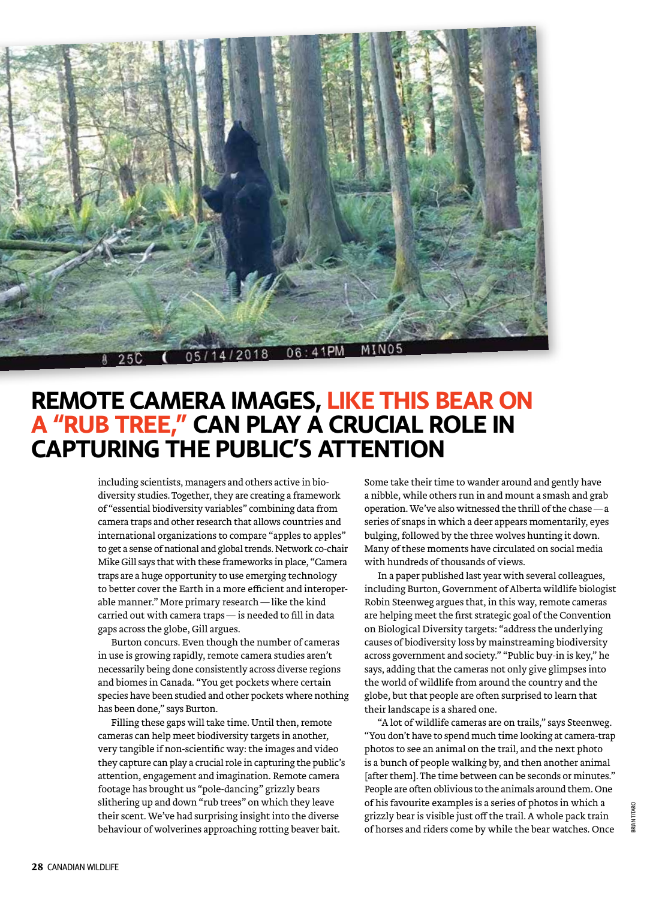

## **REMOTE CAMERA IMAGES, LIKE THIS BEAR ON A "RUB TREE," CAN PLAY A CRUCIAL ROLE IN CAPTURING THE PUBLIC'S ATTENTION**

including scientists, managers and others active in biodiversity studies. Together, they are creating a framework of "essential biodiversity variables" combining data from camera traps and other research that allows countries and international organizations to compare "apples to apples" to get a sense of national and global trends. Network co-chair Mike Gill says that with these frameworks in place, "Camera traps are a huge opportunity to use emerging technology to better cover the Earth in a more efficient and interoperable manner." More primary research—like the kind carried out with camera traps— is needed to fill in data gaps across the globe, Gill argues.

Burton concurs. Even though the number of cameras in use is growing rapidly, remote camera studies aren't necessarily being done consistently across diverse regions and biomes in Canada. "You get pockets where certain species have been studied and other pockets where nothing has been done," says Burton.

Filling these gaps will take time. Until then, remote cameras can help meet biodiversity targets in another, very tangible if non-scientific way: the images and video they capture can play a crucial role in capturing the public's attention, engagement and imagination. Remote camera footage has brought us "pole-dancing" grizzly bears slithering up and down "rub trees" on which they leave their scent. We've had surprising insight into the diverse behaviour of wolverines approaching rotting beaver bait.

Some take their time to wander around and gently have a nibble, while others run in and mount a smash and grab operation. We've also witnessed the thrill of the chase—a series of snaps in which a deer appears momentarily, eyes bulging, followed by the three wolves hunting it down. Many of these moments have circulated on social media with hundreds of thousands of views.

In a paper published last year with several colleagues, including Burton, Government of Alberta wildlife biologist Robin Steenweg argues that, in this way, remote cameras are helping meet the first strategic goal of the Convention on Biological Diversity targets: "address the underlying causes of biodiversity loss by mainstreaming biodiversity across government and society." "Public buy-in is key," he says, adding that the cameras not only give glimpses into the world of wildlife from around the country and the globe, but that people are often surprised to learn that their landscape is a shared one.

"A lot of wildlife cameras are on trails," says Steenweg. "You don't have to spend much time looking at camera-trap photos to see an animal on the trail, and the next photo is a bunch of people walking by, and then another animal [after them]. The time between can be seconds or minutes." People are often oblivious to the animals around them. One of his favourite examples is a series of photos in which a grizzly bear is visible just off the trail. A whole pack train of horses and riders come by while the bear watches. Once